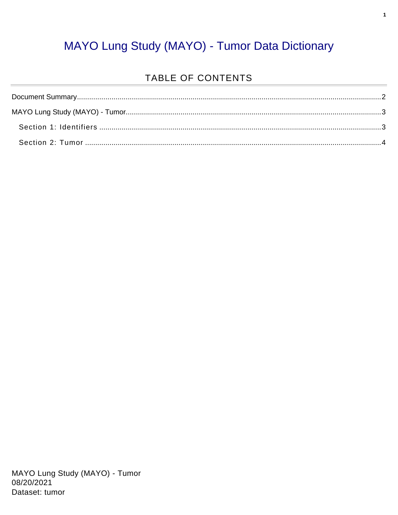#### MAYO Lung Study (MAYO) - Tumor Data Dictionary

#### TABLE OF CONTENTS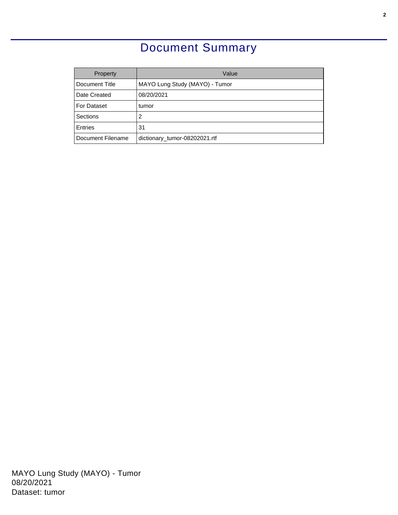### Document Summary

<span id="page-1-0"></span>

| Property          | Value                          |
|-------------------|--------------------------------|
| Document Title    | MAYO Lung Study (MAYO) - Tumor |
| Date Created      | 08/20/2021                     |
| For Dataset       | tumor                          |
| Sections          | 2                              |
| <b>Entries</b>    | 31                             |
| Document Filename | dictionary_tumor-08202021.rtf  |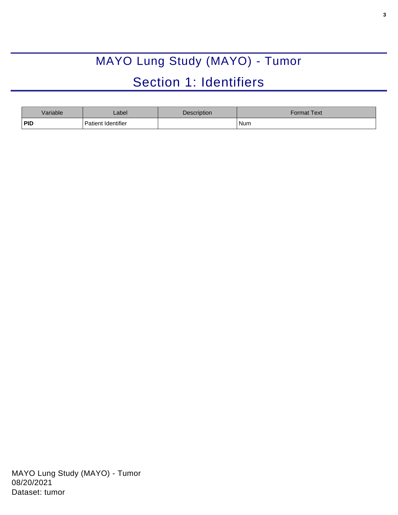# MAYO Lung Study (MAYO) - Tumor Section 1: Identifiers

<span id="page-2-1"></span><span id="page-2-0"></span>

| Variable | _abel              | Description | Format Text <sup>l</sup> |
|----------|--------------------|-------------|--------------------------|
| PID      | Patient Identifier |             | Num                      |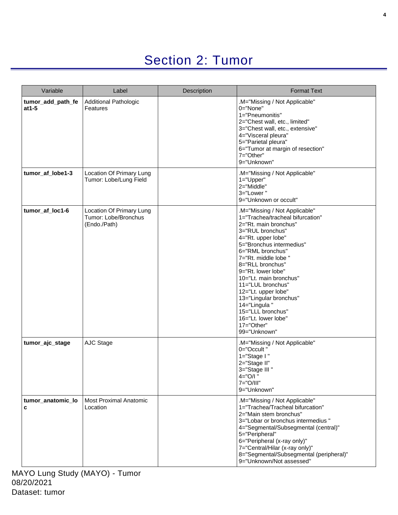## Section 2: Tumor

<span id="page-3-0"></span>

| Variable                      | Label                                                            | Description | <b>Format Text</b>                                                                                                                                                                                                                                                                                                                                                                                                                               |
|-------------------------------|------------------------------------------------------------------|-------------|--------------------------------------------------------------------------------------------------------------------------------------------------------------------------------------------------------------------------------------------------------------------------------------------------------------------------------------------------------------------------------------------------------------------------------------------------|
| tumor_add_path_fe<br>$at 1-5$ | <b>Additional Pathologic</b><br>Features                         |             | M="Missing / Not Applicable"<br>0="None"<br>1="Pneumonitis"<br>2="Chest wall, etc., limited"<br>3="Chest wall, etc., extensive"<br>4="Visceral pleura"<br>5="Parietal pleura"<br>6="Tumor at margin of resection"<br>7="Other"<br>9="Unknown"                                                                                                                                                                                                    |
| tumor_af_lobe1-3              | Location Of Primary Lung<br>Tumor: Lobe/Lung Field               |             | .M="Missing / Not Applicable"<br>$1 = "Upper"$<br>2="Middle"<br>3="Lower"<br>9="Unknown or occult"                                                                                                                                                                                                                                                                                                                                               |
| tumor_af_loc1-6               | Location Of Primary Lung<br>Tumor: Lobe/Bronchus<br>(Endo./Path) |             | .M="Missing / Not Applicable"<br>1="Trachea/tracheal bifurcation"<br>2="Rt. main bronchus"<br>3="RUL bronchus"<br>4="Rt. upper lobe"<br>5="Bronchus intermedius"<br>6="RML bronchus"<br>7="Rt. middle lobe "<br>8="RLL bronchus"<br>9="Rt. lower lobe"<br>10="Lt. main bronchus"<br>11="LUL bronchus"<br>12="Lt. upper lobe"<br>13="Lingular bronchus"<br>14="Lingula"<br>15="LLL bronchus"<br>16="Lt. lower lobe"<br>17="Other"<br>99="Unknown" |
| tumor_ajc_stage               | AJC Stage                                                        |             | .M="Missing / Not Applicable"<br>0="Occult"<br>1="Stage I"<br>2="Stage II"<br>3="Stage III"<br>4="O/I"<br>$7 = "O/III"$<br>9="Unknown"                                                                                                                                                                                                                                                                                                           |
| tumor_anatomic_lo<br>c        | <b>Most Proximal Anatomic</b><br>Location                        |             | .M="Missing / Not Applicable"<br>1="Trachea/Tracheal bifurcation"<br>2="Main stem bronchus"<br>3="Lobar or bronchus intermedius "<br>4="Segmental/Subsegmental (central)"<br>5="Peripheral"<br>6="Peripheral (x-ray only)"<br>7="Central/Hilar (x-ray only)"<br>8="Segmental/Subsegmental (peripheral)"<br>9="Unknown/Not assessed"                                                                                                              |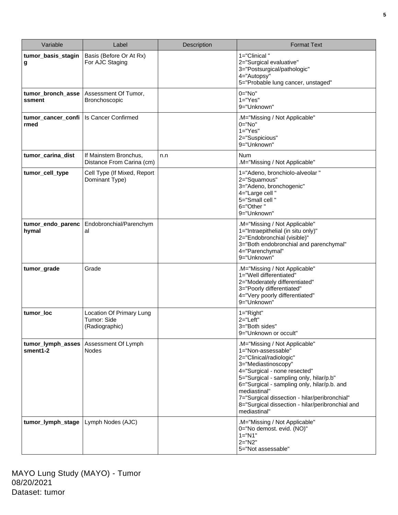| Variable                      | Label                                                     | Description | <b>Format Text</b>                                                                                                                                                                                                                                                                                                                                                  |
|-------------------------------|-----------------------------------------------------------|-------------|---------------------------------------------------------------------------------------------------------------------------------------------------------------------------------------------------------------------------------------------------------------------------------------------------------------------------------------------------------------------|
| tumor_basis_stagin<br>g       | Basis (Before Or At Rx)<br>For AJC Staging                |             | 1="Clinical"<br>2="Surgical evaluative"<br>3="Postsurgical/pathologic"<br>4="Autopsy"<br>5="Probable lung cancer, unstaged"                                                                                                                                                                                                                                         |
| tumor_bronch_asse<br>ssment   | Assessment Of Tumor,<br>Bronchoscopic                     |             | 0="No"<br>$1="Yes"$<br>9="Unknown"                                                                                                                                                                                                                                                                                                                                  |
| tumor_cancer_confi<br>rmed    | <b>Is Cancer Confirmed</b>                                |             | .M="Missing / Not Applicable"<br>$0 = "No"$<br>$1 = "Yes"$<br>2="Suspicious"<br>9="Unknown"                                                                                                                                                                                                                                                                         |
| tumor_carina_dist             | If Mainstem Bronchus,<br>Distance From Carina (cm)        | n.n         | <b>Num</b><br>.M="Missing / Not Applicable"                                                                                                                                                                                                                                                                                                                         |
| tumor_cell_type               | Cell Type (If Mixed, Report<br>Dominant Type)             |             | 1="Adeno, bronchiolo-alveolar"<br>2="Squamous"<br>3="Adeno, bronchogenic"<br>4="Large cell"<br>5="Small cell"<br>6="Other"<br>9="Unknown"                                                                                                                                                                                                                           |
| tumor_endo_parenc<br>hymal    | Endobronchial/Parenchym<br>al                             |             | .M="Missing / Not Applicable"<br>1="Intraepithelial (in situ only)"<br>2="Endobronchial (visible)"<br>3="Both endobronchial and parenchymal"<br>4="Parenchymal"<br>9="Unknown"                                                                                                                                                                                      |
| tumor_grade                   | Grade                                                     |             | .M="Missing / Not Applicable"<br>1="Well differentiated"<br>2="Moderately differentiated"<br>3="Poorly differentiated"<br>4="Very poorly differentiated"<br>9="Unknown"                                                                                                                                                                                             |
| tumor_loc                     | Location Of Primary Lung<br>Tumor: Side<br>(Radiographic) |             | $1 = "Right"$<br>$2 = "Left"$<br>3="Both sides"<br>9="Unknown or occult"                                                                                                                                                                                                                                                                                            |
| tumor_lymph_asses<br>sment1-2 | Assessment Of Lymph<br><b>Nodes</b>                       |             | M="Missing / Not Applicable"<br>1="Non-assessable"<br>2="Clinical/radiologic"<br>3="Mediastinoscopy"<br>4="Surgical - none resected"<br>5="Surgical - sampling only, hilar/p.b"<br>6="Surgical - sampling only, hilar/p.b. and<br>mediastinal"<br>7="Surgical dissection - hilar/peribronchial"<br>8="Surgical dissection - hilar/peribronchial and<br>mediastinal" |
| tumor_lymph_stage             | Lymph Nodes (AJC)                                         |             | .M="Missing / Not Applicable"<br>0="No demost. evid. (NO)"<br>$1 = "N1"$<br>$2 = "N2"$<br>5="Not assessable"                                                                                                                                                                                                                                                        |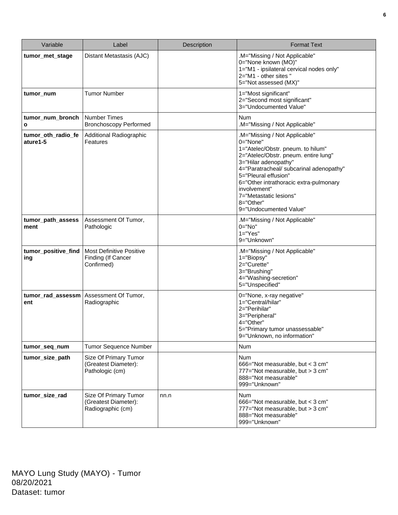| Variable                         | Label                                                               | Description | <b>Format Text</b>                                                                                                                                                                                                                                                                                                                           |
|----------------------------------|---------------------------------------------------------------------|-------------|----------------------------------------------------------------------------------------------------------------------------------------------------------------------------------------------------------------------------------------------------------------------------------------------------------------------------------------------|
| tumor_met_stage                  | Distant Metastasis (AJC)                                            |             | .M="Missing / Not Applicable"<br>0="None known (MO)"<br>1="M1 - ipsilateral cervical nodes only"<br>2="M1 - other sites "<br>5="Not assessed (MX)"                                                                                                                                                                                           |
| tumor_num                        | <b>Tumor Number</b>                                                 |             | 1="Most significant"<br>2="Second most significant"<br>3="Undocumented Value"                                                                                                                                                                                                                                                                |
| tumor_num_bronch<br>$\mathbf{o}$ | <b>Number Times</b><br><b>Bronchoscopy Performed</b>                |             | Num<br>.M="Missing / Not Applicable"                                                                                                                                                                                                                                                                                                         |
| tumor_oth_radio_fe<br>ature1-5   | Additional Radiographic<br>Features                                 |             | .M="Missing / Not Applicable"<br>0="None"<br>1="Atelec/Obstr. pneum. to hilum"<br>2="Atelec/Obstr. pneum. entire lung"<br>3="Hilar adenopathy"<br>4="Paratracheal/ subcarinal adenopathy"<br>5="Pleural effusion"<br>6="Other intrathoracic extra-pulmonary<br>involvement"<br>7="Metastatic lesions"<br>8="Other"<br>9="Undocumented Value" |
| tumor_path_assess<br>ment        | Assessment Of Tumor,<br>Pathologic                                  |             | .M="Missing / Not Applicable"<br>0="No"<br>$1 = "Yes"$<br>9="Unknown"                                                                                                                                                                                                                                                                        |
| tumor_positive_find<br>ing       | <b>Most Definitive Positive</b><br>Finding (If Cancer<br>Confirmed) |             | .M="Missing / Not Applicable"<br>1="Biopsy"<br>2="Curette"<br>3="Brushing"<br>4="Washing-secretion"<br>5="Unspecified"                                                                                                                                                                                                                       |
| ent                              | tumor_rad_assessm   Assessment Of Tumor,<br>Radiographic            |             | 0="None, x-ray negative"<br>1="Central/hilar"<br>2="Perihilar"<br>3="Peripheral"<br>4="Other"<br>5="Primary tumor unassessable"<br>9="Unknown, no information"                                                                                                                                                                               |
| tumor_seq_num                    | Tumor Sequence Number                                               |             | Num                                                                                                                                                                                                                                                                                                                                          |
| tumor_size_path                  | Size Of Primary Tumor<br>(Greatest Diameter):<br>Pathologic (cm)    |             | Num<br>666="Not measurable, but < 3 cm"<br>777="Not measurable, but > 3 cm"<br>888="Not measurable"<br>999="Unknown"                                                                                                                                                                                                                         |
| tumor_size_rad                   | Size Of Primary Tumor<br>(Greatest Diameter):<br>Radiographic (cm)  | nn.n        | Num<br>666="Not measurable, but < 3 cm"<br>777="Not measurable, but > 3 cm"<br>888="Not measurable"<br>999="Unknown"                                                                                                                                                                                                                         |